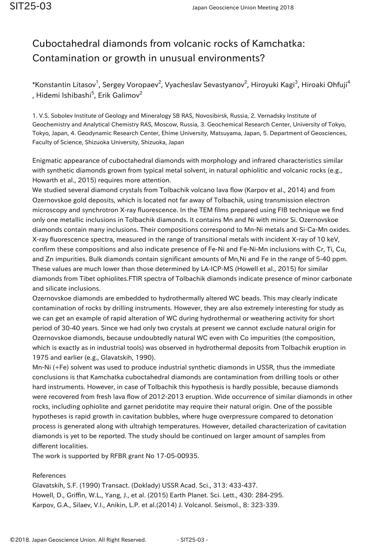## Cuboctahedral diamonds from volcanic rocks of Kamchatka: Contamination or growth in unusual environments?

\*Konstantin Litasov<sup>1</sup>, Sergey Voropaev<sup>2</sup>, Vyacheslav Sevastyanov<sup>2</sup>, Hiroyuki Kagi<sup>3</sup>, Hiroaki Ohfuji<sup>4</sup> , Hidemi Ishibashi<sup>5</sup>, Erik Galimov<sup>2</sup>

1. V.S. Sobolev Institute of Geology and Mineralogy SB RAS, Novosibirsk, Russia, 2. Vernadsky Institute of Geochemistry and Analytical Chemistry RAS, Moscow, Russia, 3. Geochemical Research Center, University of Tokyo, Tokyo, Japan, 4. Geodynamic Research Center, Ehime University, Matsuyama, Japan, 5. Department of Geosciences, Faculty of Science, Shizuoka University, Shizuoka, Japan

Enigmatic appearance of cuboctahedral diamonds with morphology and infrared characteristics similar with synthetic diamonds grown from typical metal solvent, in natural ophiolitic and volcanic rocks (e.g., Howarth et al., 2015) requires more attention.

We studied several diamond crystals from Tolbachik volcano lava flow (Karpov et al., 2014) and from Ozernovskoe gold deposits, which is located not far away of Tolbachik, using transmission electron microscopy and synchrotron X-ray fluorescence. In the TEM films prepared using FIB technique we find only one metallic inclusions in Tolbachik diamonds. It contains Mn and Ni with minor Si. Ozernovskoe diamonds contain many inclusions. Their compositions correspond to Mn-Ni metals and Si-Ca-Mn oxides. X-ray fluorescence spectra, measured in the range of transitional metals with incident X-ray of 10 keV, confirm these compositions and also indicate presence of Fe-Ni and Fe-Ni-Mn inclusions with Cr, Ti, Cu, and Zn impurities. Bulk diamonds contain significant amounts of Mn,Ni and Fe in the range of 5-40 ppm. These values are much lower than those determined by LA-ICP-MS (Howell et al., 2015) for similar diamonds from Tibet ophiolites.FTIR spectra of Tolbachik diamonds indicate presence of minor carbonate and silicate inclusions.

Ozernovskoe diamonds are embedded to hydrothermally altered WC beads. This may clearly indicate contamination of rocks by drilling instruments. However, they are also extremely interesting for study as we can get an example of rapid alteration of WC during hydrothermal or weathering activity for short period of 30-40 years. Since we had only two crystals at present we cannot exclude natural origin for Ozernovskoe diamonds, because undoubtedly natural WC even with Co impurities (the composition, which is exactly as in industrial tools) was observed in hydrothermal deposits from Tolbachik eruption in 1975 and earlier (e.g., Glavatskih, 1990).

Mn-Ni (+Fe) solvent was used to produce industrial synthetic diamonds in USSR, thus the immediate conclusions is that Kamchatka cuboctahedral diamonds are contamination from drilling tools or other hard instruments. However, in case of Tolbachik this hypothesis is hardly possible, because diamonds were recovered from fresh lava flow of 2012-2013 eruption. Wide occurrence of similar diamonds in other rocks, including ophiolite and garnet peridotite may require their natural origin. One of the possible hypotheses is rapid growth in cavitation bubbles, where huge overpressure compared to detonation process is generated along with ultrahigh temperatures. However, detailed characterization of cavitation diamonds is yet to be reported. The study should be continued on larger amount of samples from different localities.

The work is supported by RFBR grant No 17-05-00935.

## References

Glavatskih, S.F. (1990) Transact. (Doklady) USSR Acad. Sci., 313: 433-437. Howell, D., Griffin, W.L., Yang, J., et al. (2015) Earth Planet. Sci. Lett., 430: 284-295. Karpov, G.A., Silaev, V.I., Anikin, L.P. et al.(2014) J. Volcanol. Seismol., 8: 323-339.